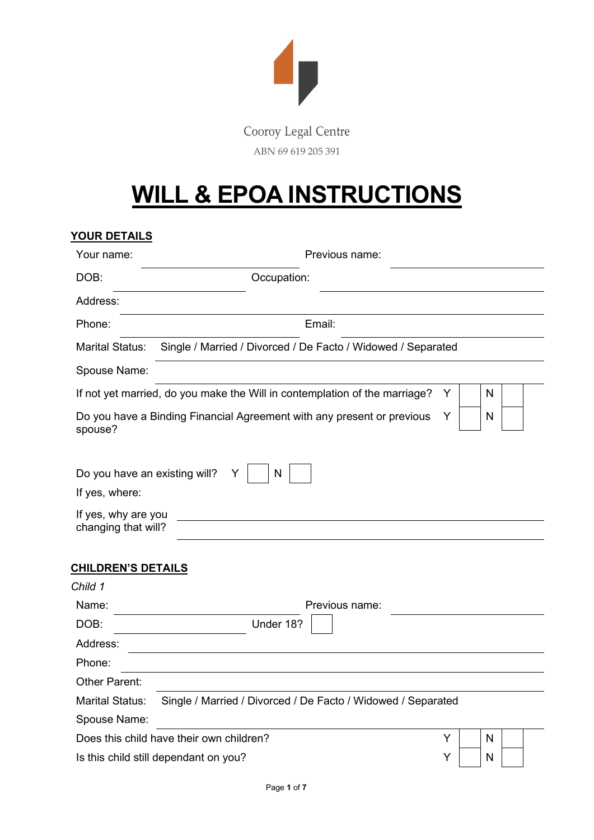

#### Cooroy Legal Centre ABN 69 619 205 391

## **WILL & EPOA INSTRUCTIONS**

### **YOUR DETAILS** Your name: Previous name: DOB: Cocupation: Address: Phone: Email: Marital Status: Single / Married / Divorced / De Facto / Widowed / Separated Spouse Name: If not yet married, do you make the Will in contemplation of the marriage?  $Y \parallel \parallel N$ Do you have a Binding Financial Agreement with any present or previous spouse? Y N Do you have an existing will?  $Y \mid N$ If yes, where: If yes, why are you changing that will? **CHILDREN'S DETAILS** *Child 1* Name: Name: Previous name: Previous name: DOB: Under 18? Address: Phone: Other Parent: Marital Status: Single / Married / Divorced / De Facto / Widowed / Separated Spouse Name: Does this child have their own children?  $Y \mid N$ Is this child still dependant on you?  $Y \mid N$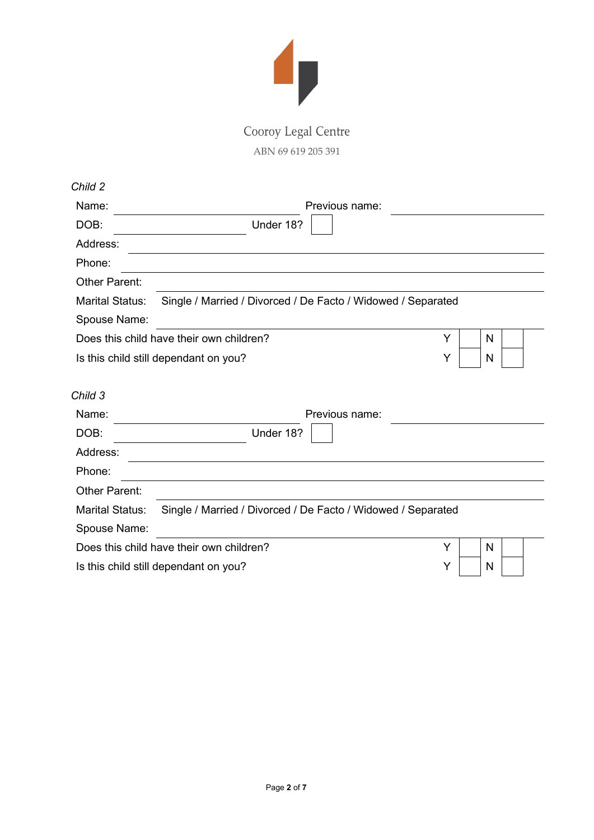

ABN 69 619 205 391

| Name:                                          |                                                              | Previous name: |   |
|------------------------------------------------|--------------------------------------------------------------|----------------|---|
| DOB:                                           | Under 18?                                                    |                |   |
| Address:                                       |                                                              |                |   |
| Phone:                                         |                                                              |                |   |
| Other Parent:                                  |                                                              |                |   |
| <b>Marital Status:</b>                         | Single / Married / Divorced / De Facto / Widowed / Separated |                |   |
| Spouse Name:                                   |                                                              |                |   |
|                                                | Does this child have their own children?                     | Y              | N |
|                                                |                                                              |                |   |
|                                                | Is this child still dependant on you?                        | Υ              | N |
|                                                |                                                              | Previous name: |   |
|                                                | Under 18?                                                    |                |   |
|                                                |                                                              |                |   |
| Child 3<br>Name:<br>DOB:<br>Address:<br>Phone: |                                                              |                |   |
| <b>Other Parent:</b>                           |                                                              |                |   |
|                                                | Single / Married / Divorced / De Facto / Widowed / Separated |                |   |
|                                                |                                                              |                |   |
| <b>Marital Status:</b><br>Spouse Name:         | Does this child have their own children?                     | Y              | N |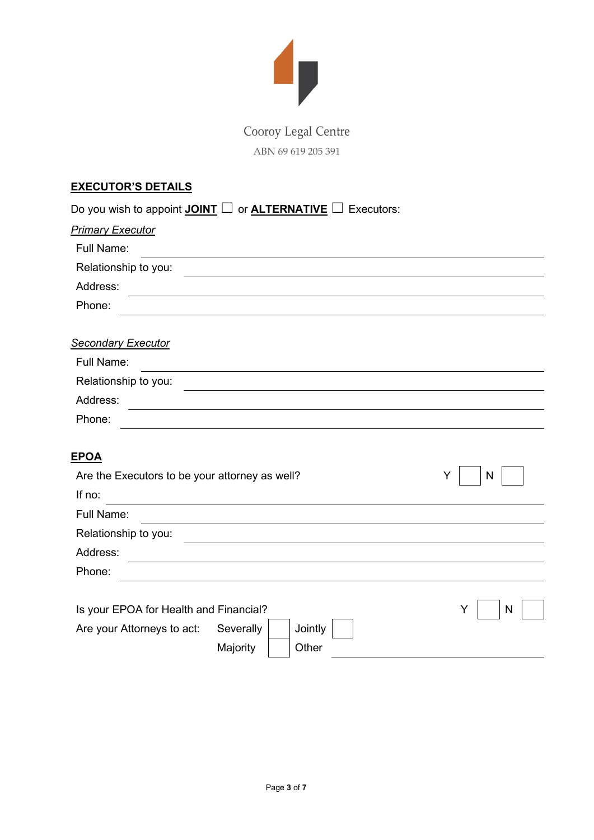

### Cooroy Legal Centre ABN 69 619 205 391

#### **EXECUTOR'S DETAILS**

| Do you wish to appoint <b>JOINT</b> $\Box$ or <b>ALTERNATIVE</b> $\Box$ |           | Executors: |        |
|-------------------------------------------------------------------------|-----------|------------|--------|
| <b>Primary Executor</b>                                                 |           |            |        |
| Full Name:                                                              |           |            |        |
| Relationship to you:                                                    |           |            |        |
| Address:                                                                |           |            |        |
| Phone:                                                                  |           |            |        |
|                                                                         |           |            |        |
| <b>Secondary Executor</b>                                               |           |            |        |
| Full Name:                                                              |           |            |        |
| Relationship to you:                                                    |           |            |        |
| Address:                                                                |           |            |        |
| Phone:                                                                  |           |            |        |
|                                                                         |           |            |        |
| <b>EPOA</b>                                                             |           |            |        |
| Are the Executors to be your attorney as well?                          |           |            | Υ<br>N |
| If no:                                                                  |           |            |        |
| Full Name:                                                              |           |            |        |
| Relationship to you:                                                    |           |            |        |
| Address:                                                                |           |            |        |
| Phone:                                                                  |           |            |        |
|                                                                         |           |            |        |
| Is your EPOA for Health and Financial?                                  |           |            | N<br>Y |
| Are your Attorneys to act:                                              | Severally | Jointly    |        |
|                                                                         | Majority  | Other      |        |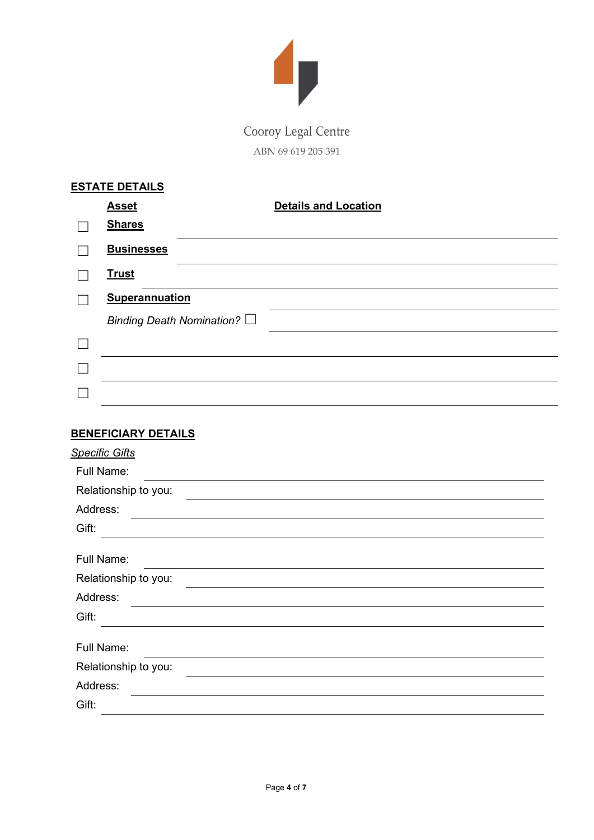

ABN 69 619 205 391

| <b>ESTATE DETAILS</b> |                           |                             |
|-----------------------|---------------------------|-----------------------------|
| <b>Asset</b>          |                           | <b>Details and Location</b> |
| <b>Shares</b>         |                           |                             |
| <b>Businesses</b>     |                           |                             |
| <b>Trust</b>          |                           |                             |
| <b>Superannuation</b> |                           |                             |
|                       | Binding Death Nomination? |                             |
|                       |                           |                             |
|                       |                           |                             |
|                       |                           |                             |

#### **BENEFICIARY DETAILS**

| <b>Specific Gifts</b> |
|-----------------------|
| Full Name:            |
| Relationship to you:  |
| Address:              |
| Gift:                 |
|                       |
| Full Name:            |
| Relationship to you:  |
| Address:              |
| Gift:                 |
|                       |
| Full Name:            |
| Relationship to you:  |
| Address:              |
| Gift:                 |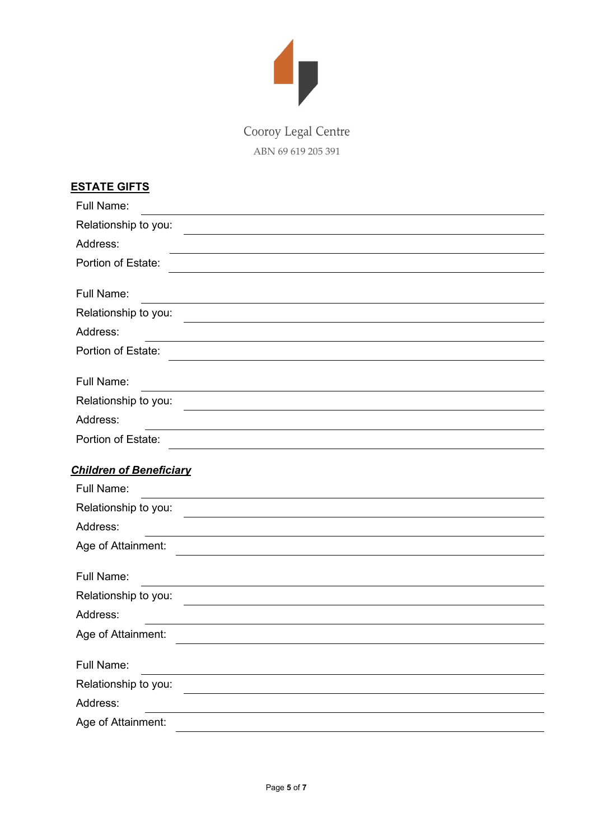

ABN 69 619 205 391

| <u>ESTATE GIFTS</u>            |  |
|--------------------------------|--|
| Full Name:                     |  |
| Relationship to you:           |  |
| Address:                       |  |
| Portion of Estate:             |  |
| Full Name:                     |  |
| Relationship to you:           |  |
| Address:                       |  |
| Portion of Estate:             |  |
| Full Name:                     |  |
| Relationship to you:           |  |
| Address:                       |  |
| Portion of Estate:             |  |
| <b>Children of Beneficiary</b> |  |
| Full Name:                     |  |
| Relationship to you:           |  |
| Address:                       |  |
| Age of Attainment:             |  |
| Full Name:                     |  |
| Relationship to you:           |  |
| Address:                       |  |
| Age of Attainment:             |  |
| Full Name:                     |  |
| Relationship to you:           |  |
| Address:                       |  |
| Age of Attainment:             |  |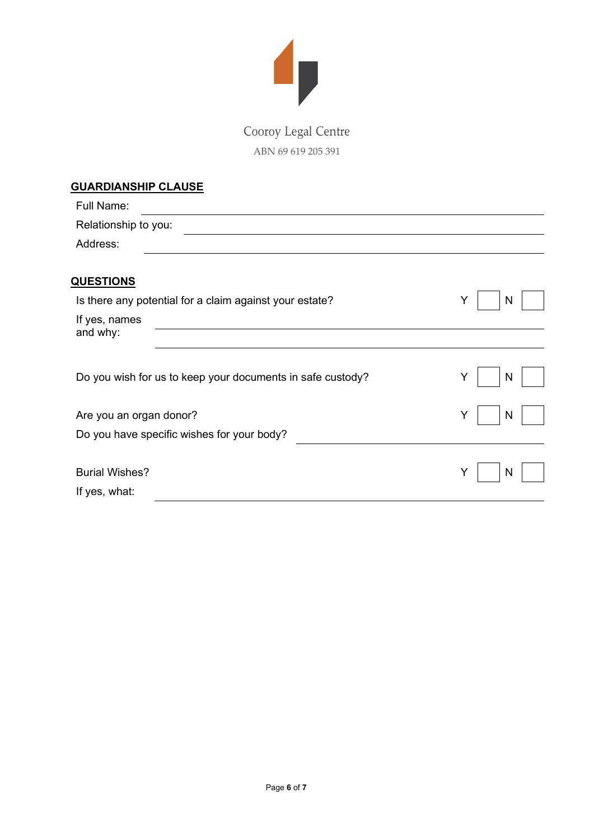

ABN 69 619 205 391

| <b>GUARDIANSHIP CLAUSE</b>                                 |        |
|------------------------------------------------------------|--------|
| Full Name:                                                 |        |
| Relationship to you:                                       |        |
| Address:                                                   |        |
|                                                            |        |
| <b>QUESTIONS</b>                                           |        |
| Is there any potential for a claim against your estate?    | Y<br>N |
| If yes, names                                              |        |
| and why:                                                   |        |
|                                                            |        |
|                                                            |        |
| Do you wish for us to keep your documents in safe custody? | Y<br>N |
|                                                            |        |
| Are you an organ donor?                                    | Y<br>N |
| Do you have specific wishes for your body?                 |        |
|                                                            |        |
| <b>Burial Wishes?</b>                                      | N<br>Y |
| If yes, what:                                              |        |